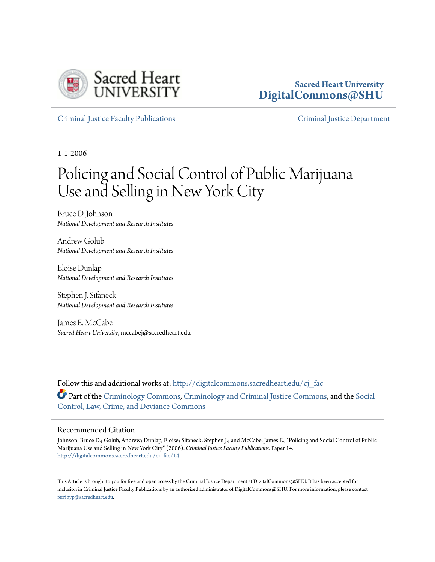

# **Sacred Heart University [DigitalCommons@SHU](http://digitalcommons.sacredheart.edu?utm_source=digitalcommons.sacredheart.edu%2Fcj_fac%2F14&utm_medium=PDF&utm_campaign=PDFCoverPages)**

[Criminal Justice Faculty Publications](http://digitalcommons.sacredheart.edu/cj_fac?utm_source=digitalcommons.sacredheart.edu%2Fcj_fac%2F14&utm_medium=PDF&utm_campaign=PDFCoverPages) [Criminal Justice Department](http://digitalcommons.sacredheart.edu/cj?utm_source=digitalcommons.sacredheart.edu%2Fcj_fac%2F14&utm_medium=PDF&utm_campaign=PDFCoverPages)

1-1-2006

# Policing and Social Control of Public Marijuana Use and Selling in New York City

Bruce D. Johnson *National Development and Research Institutes*

Andrew Golub *National Development and Research Institutes*

Eloise Dunlap *National Development and Research Institutes*

Stephen J. Sifaneck *National Development and Research Institutes*

James E. McCabe *Sacred Heart University*, mccabej@sacredheart.edu

Follow this and additional works at: [http://digitalcommons.sacredheart.edu/cj\\_fac](http://digitalcommons.sacredheart.edu/cj_fac?utm_source=digitalcommons.sacredheart.edu%2Fcj_fac%2F14&utm_medium=PDF&utm_campaign=PDFCoverPages) Part of the [Criminology Commons,](http://network.bepress.com/hgg/discipline/417?utm_source=digitalcommons.sacredheart.edu%2Fcj_fac%2F14&utm_medium=PDF&utm_campaign=PDFCoverPages) [Criminology and Criminal Justice Commons](http://network.bepress.com/hgg/discipline/367?utm_source=digitalcommons.sacredheart.edu%2Fcj_fac%2F14&utm_medium=PDF&utm_campaign=PDFCoverPages), and the [Social](http://network.bepress.com/hgg/discipline/429?utm_source=digitalcommons.sacredheart.edu%2Fcj_fac%2F14&utm_medium=PDF&utm_campaign=PDFCoverPages) [Control, Law, Crime, and Deviance Commons](http://network.bepress.com/hgg/discipline/429?utm_source=digitalcommons.sacredheart.edu%2Fcj_fac%2F14&utm_medium=PDF&utm_campaign=PDFCoverPages)

#### Recommended Citation

Johnson, Bruce D.; Golub, Andrew; Dunlap, Eloise; Sifaneck, Stephen J.; and McCabe, James E., "Policing and Social Control of Public Marijuana Use and Selling in New York City" (2006). *Criminal Justice Faculty Publications.* Paper 14. [http://digitalcommons.sacredheart.edu/cj\\_fac/14](http://digitalcommons.sacredheart.edu/cj_fac/14?utm_source=digitalcommons.sacredheart.edu%2Fcj_fac%2F14&utm_medium=PDF&utm_campaign=PDFCoverPages)

This Article is brought to you for free and open access by the Criminal Justice Department at DigitalCommons@SHU. It has been accepted for inclusion in Criminal Justice Faculty Publications by an authorized administrator of DigitalCommons@SHU. For more information, please contact [ferribyp@sacredheart.edu](mailto:ferribyp@sacredheart.edu).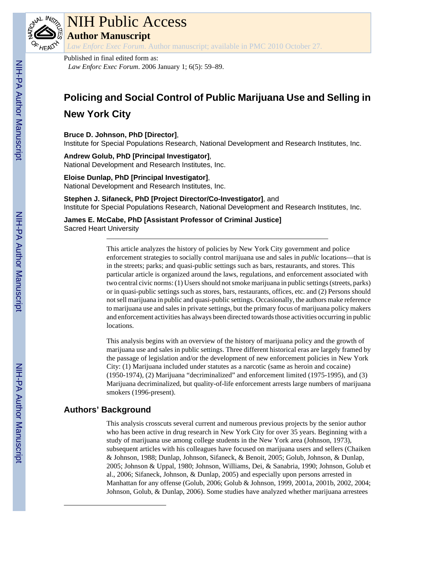

# NIH Public Access

**Author Manuscript**

*Law Enforc Exec Forum*. Author manuscript; available in PMC 2010 October 27.

Published in final edited form as: *Law Enforc Exec Forum*. 2006 January 1; 6(5): 59–89.

# **Policing and Social Control of Public Marijuana Use and Selling in**

# **New York City**

## **Bruce D. Johnson, PhD [Director]**,

Institute for Special Populations Research, National Development and Research Institutes, Inc.

**Andrew Golub, PhD [Principal Investigator]**, National Development and Research Institutes, Inc.

#### **Eloise Dunlap, PhD [Principal Investigator]**, National Development and Research Institutes, Inc.

**Stephen J. Sifaneck, PhD [Project Director/Co-Investigator]**, and Institute for Special Populations Research, National Development and Research Institutes, Inc.

**James E. McCabe, PhD [Assistant Professor of Criminal Justice]** Sacred Heart University

> This article analyzes the history of policies by New York City government and police enforcement strategies to socially control marijuana use and sales in *public* locations—that is in the streets; parks; and quasi-public settings such as bars, restaurants, and stores. This particular article is organized around the laws, regulations, and enforcement associated with two central civic norms: (1) Users should not smoke marijuana in public settings (streets, parks) or in quasi-public settings such as stores, bars, restaurants, offices, etc. and (2) Persons should not sell marijuana in public and quasi-public settings. Occasionally, the authors make reference to marijuana use and sales in private settings, but the primary focus of marijuana policy makers and enforcement activities has always been directed towards those activities occurring in public locations.

> This analysis begins with an overview of the history of marijuana policy and the growth of marijuana use and sales in public settings. Three different historical eras are largely framed by the passage of legislation and/or the development of new enforcement policies in New York City: (1) Marijuana included under statutes as a narcotic (same as heroin and cocaine) (1950-1974), (2) Marijuana "decriminalized" and enforcement limited (1975-1995), and (3) Marijuana decriminalized, but quality-of-life enforcement arrests large numbers of marijuana smokers (1996-present).

# **Authors' Background**

This analysis crosscuts several current and numerous previous projects by the senior author who has been active in drug research in New York City for over 35 years. Beginning with a study of marijuana use among college students in the New York area (Johnson, 1973), subsequent articles with his colleagues have focused on marijuana users and sellers (Chaiken & Johnson, 1988; Dunlap, Johnson, Sifaneck, & Benoit, 2005; Golub, Johnson, & Dunlap, 2005; Johnson & Uppal, 1980; Johnson, Williams, Dei, & Sanabria, 1990; Johnson, Golub et al., 2006; Sifaneck, Johnson, & Dunlap, 2005) and especially upon persons arrested in Manhattan for any offense (Golub, 2006; Golub & Johnson, 1999, 2001a, 2001b, 2002, 2004; Johnson, Golub, & Dunlap, 2006). Some studies have analyzed whether marijuana arrestees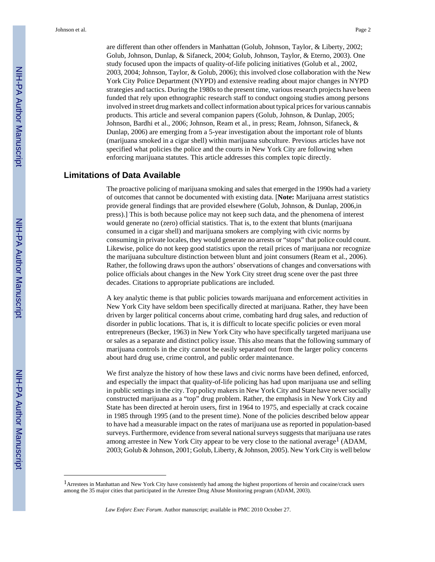are different than other offenders in Manhattan (Golub, Johnson, Taylor, & Liberty, 2002; Golub, Johnson, Dunlap, & Sifaneck, 2004; Golub, Johnson, Taylor, & Eterno, 2003). One study focused upon the impacts of quality-of-life policing initiatives (Golub et al., 2002, 2003, 2004; Johnson, Taylor, & Golub, 2006); this involved close collaboration with the New York City Police Department (NYPD) and extensive reading about major changes in NYPD strategies and tactics. During the 1980s to the present time, various research projects have been funded that rely upon ethnographic research staff to conduct ongoing studies among persons involved in street drug markets and collect information about typical prices for various cannabis products. This article and several companion papers (Golub, Johnson, & Dunlap, 2005; Johnson, Bardhi et al., 2006; Johnson, Ream et al., in press; Ream, Johnson, Sifaneck, & Dunlap, 2006) are emerging from a 5-year investigation about the important role of blunts (marijuana smoked in a cigar shell) within marijuana subculture. Previous articles have not specified what policies the police and the courts in New York City are following when enforcing marijuana statutes. This article addresses this complex topic directly.

# **Limitations of Data Available**

The proactive policing of marijuana smoking and sales that emerged in the 1990s had a variety of outcomes that cannot be documented with existing data. [**Note:** Marijuana arrest statistics provide general findings that are provided elsewhere (Golub, Johnson, & Dunlap, 2006,in press).] This is both because police may not keep such data, and the phenomena of interest would generate no (zero) official statistics. That is, to the extent that blunts (marijuana consumed in a cigar shell) and marijuana smokers are complying with civic norms by consuming in private locales, they would generate no arrests or "stops" that police could count. Likewise, police do not keep good statistics upon the retail prices of marijuana nor recognize the marijuana subculture distinction between blunt and joint consumers (Ream et al., 2006). Rather, the following draws upon the authors' observations of changes and conversations with police officials about changes in the New York City street drug scene over the past three decades. Citations to appropriate publications are included.

A key analytic theme is that public policies towards marijuana and enforcement activities in New York City have seldom been specifically directed at marijuana. Rather, they have been driven by larger political concerns about crime, combating hard drug sales, and reduction of disorder in public locations. That is, it is difficult to locate specific policies or even moral entrepreneurs (Becker, 1963) in New York City who have specifically targeted marijuana use or sales as a separate and distinct policy issue. This also means that the following summary of marijuana controls in the city cannot be easily separated out from the larger policy concerns about hard drug use, crime control, and public order maintenance.

We first analyze the history of how these laws and civic norms have been defined, enforced, and especially the impact that quality-of-life policing has had upon marijuana use and selling in public settings in the city. Top policy makers in New York City and State have never socially constructed marijuana as a "top" drug problem. Rather, the emphasis in New York City and State has been directed at heroin users, first in 1964 to 1975, and especially at crack cocaine in 1985 through 1995 (and to the present time). None of the policies described below appear to have had a measurable impact on the rates of marijuana use as reported in population-based surveys. Furthermore, evidence from several national surveys suggests that marijuana use rates among arrestee in New York City appear to be very close to the national average<sup>1</sup> (ADAM, 2003; Golub & Johnson, 2001; Golub, Liberty, & Johnson, 2005). New York City is well below

<sup>1</sup>Arrestees in Manhattan and New York City have consistently had among the highest proportions of heroin and cocaine/crack users among the 35 major cities that participated in the Arrestee Drug Abuse Monitoring program (ADAM, 2003).

*Law Enforc Exec Forum*. Author manuscript; available in PMC 2010 October 27.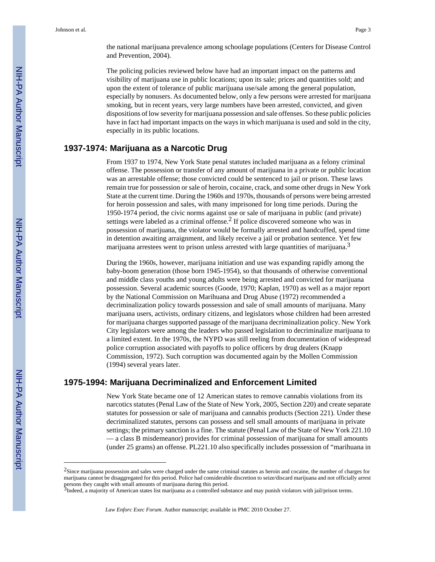the national marijuana prevalence among schoolage populations (Centers for Disease Control and Prevention, 2004).

The policing policies reviewed below have had an important impact on the patterns and visibility of marijuana use in public locations; upon its sale; prices and quantities sold; and upon the extent of tolerance of public marijuana use/sale among the general population, especially by nonusers. As documented below, only a few persons were arrested for marijuana smoking, but in recent years, very large numbers have been arrested, convicted, and given dispositions of low severity for marijuana possession and sale offenses. So these public policies have in fact had important impacts on the ways in which marijuana is used and sold in the city, especially in its public locations.

## **1937-1974: Marijuana as a Narcotic Drug**

From 1937 to 1974, New York State penal statutes included marijuana as a felony criminal offense. The possession or transfer of any amount of marijuana in a private or public location was an arrestable offense; those convicted could be sentenced to jail or prison. These laws remain true for possession or sale of heroin, cocaine, crack, and some other drugs in New York State at the current time. During the 1960s and 1970s, thousands of persons were being arrested for heroin possession and sales, with many imprisoned for long time periods. During the 1950-1974 period, the civic norms against use or sale of marijuana in public (and private) settings were labeled as a criminal offense.<sup>2</sup> If police discovered someone who was in possession of marijuana, the violator would be formally arrested and handcuffed, spend time in detention awaiting arraignment, and likely receive a jail or probation sentence. Yet few marijuana arrestees went to prison unless arrested with large quantities of marijuana. $3$ 

During the 1960s, however, marijuana initiation and use was expanding rapidly among the baby-boom generation (those born 1945-1954), so that thousands of otherwise conventional and middle class youths and young adults were being arrested and convicted for marijuana possession. Several academic sources (Goode, 1970; Kaplan, 1970) as well as a major report by the National Commission on Marihuana and Drug Abuse (1972) recommended a decriminalization policy towards possession and sale of small amounts of marijuana. Many marijuana users, activists, ordinary citizens, and legislators whose children had been arrested for marijuana charges supported passage of the marijuana decriminalization policy. New York City legislators were among the leaders who passed legislation to decriminalize marijuana to a limited extent. In the 1970s, the NYPD was still reeling from documentation of widespread police corruption associated with payoffs to police officers by drug dealers (Knapp Commission, 1972). Such corruption was documented again by the Mollen Commission (1994) several years later.

# **1975-1994: Marijuana Decriminalized and Enforcement Limited**

New York State became one of 12 American states to remove cannabis violations from its narcotics statutes (Penal Law of the State of New York, 2005, Section 220) and create separate statutes for possession or sale of marijuana and cannabis products (Section 221). Under these decriminalized statutes, persons can possess and sell small amounts of marijuana in private settings; the primary sanction is a fine. The statute (Penal Law of the State of New York 221.10 — a class B misdemeanor) provides for criminal possession of marijuana for small amounts (under 25 grams) an offense. PL221.10 also specifically includes possession of "marihuana in

<sup>&</sup>lt;sup>2</sup>Since marijuana possession and sales were charged under the same criminal statutes as heroin and cocaine, the number of charges for marijuana cannot be disaggregated for this period. Police had considerable discretion to seize/discard marijuana and not officially arrest persons they caught with small amounts of marijuana during this period.<br><sup>3</sup>Indeed, a majority of American states list marijuana as a controlled substance and may punish violators with jail/prison terms.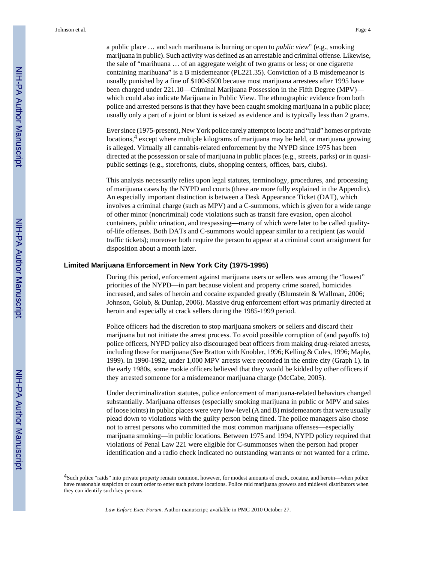a public place … and such marihuana is burning or open to *public view*" (e.g., smoking marijuana in public). Such activity was defined as an arrestable and criminal offense. Likewise, the sale of "marihuana … of an aggregate weight of two grams or less; or one cigarette containing marihuana" is a B misdemeanor (PL221.35). Conviction of a B misdemeanor is usually punished by a fine of \$100-\$500 because most marijuana arrestees after 1995 have been charged under 221.10—Criminal Marijuana Possession in the Fifth Degree (MPV) which could also indicate Marijuana in Public View. The ethnographic evidence from both police and arrested persons is that they have been caught smoking marijuana in a public place; usually only a part of a joint or blunt is seized as evidence and is typically less than 2 grams.

Ever since (1975-present), New York police rarely attempt to locate and "raid" homes or private locations,<sup>4</sup> except where multiple kilograms of marijuana may be held, or marijuana growing is alleged. Virtually all cannabis-related enforcement by the NYPD since 1975 has been directed at the possession or sale of marijuana in public places (e.g., streets, parks) or in quasipublic settings (e.g., storefronts, clubs, shopping centers, offices, bars, clubs).

This analysis necessarily relies upon legal statutes, terminology, procedures, and processing of marijuana cases by the NYPD and courts (these are more fully explained in the Appendix). An especially important distinction is between a Desk Appearance Ticket (DAT), which involves a criminal charge (such as MPV) and a C-summons, which is given for a wide range of other minor (noncriminal) code violations such as transit fare evasion, open alcohol containers, public urination, and trespassing—many of which were later to be called qualityof-life offenses. Both DATs and C-summons would appear similar to a recipient (as would traffic tickets); moreover both require the person to appear at a criminal court arraignment for disposition about a month later.

#### **Limited Marijuana Enforcement in New York City (1975-1995)**

During this period, enforcement against marijuana users or sellers was among the "lowest" priorities of the NYPD—in part because violent and property crime soared, homicides increased, and sales of heroin and cocaine expanded greatly (Blumstein & Wallman, 2006; Johnson, Golub, & Dunlap, 2006). Massive drug enforcement effort was primarily directed at heroin and especially at crack sellers during the 1985-1999 period.

Police officers had the discretion to stop marijuana smokers or sellers and discard their marijuana but not initiate the arrest process. To avoid possible corruption of (and payoffs to) police officers, NYPD policy also discouraged beat officers from making drug-related arrests, including those for marijuana (See Bratton with Knobler, 1996; Kelling & Coles, 1996; Maple, 1999). In 1990-1992, under 1,000 MPV arrests were recorded in the entire city (Graph 1). In the early 1980s, some rookie officers believed that they would be kidded by other officers if they arrested someone for a misdemeanor marijuana charge (McCabe, 2005).

Under decriminalization statutes, police enforcement of marijuana-related behaviors changed substantially. Marijuana offenses (especially smoking marijuana in public or MPV and sales of loose joints) in public places were very low-level (A and B) misdemeanors that were usually plead down to violations with the guilty person being fined. The police managers also chose not to arrest persons who committed the most common marijuana offenses—especially marijuana smoking—in public locations. Between 1975 and 1994, NYPD policy required that violations of Penal Law 221 were eligible for C-summonses when the person had proper identification and a radio check indicated no outstanding warrants or not wanted for a crime.

<sup>4</sup>Such police "raids" into private property remain common, however, for modest amounts of crack, cocaine, and heroin—when police have reasonable suspicion or court order to enter such private locations. Police raid marijuana growers and midlevel distributors when they can identify such key persons.

*Law Enforc Exec Forum*. Author manuscript; available in PMC 2010 October 27.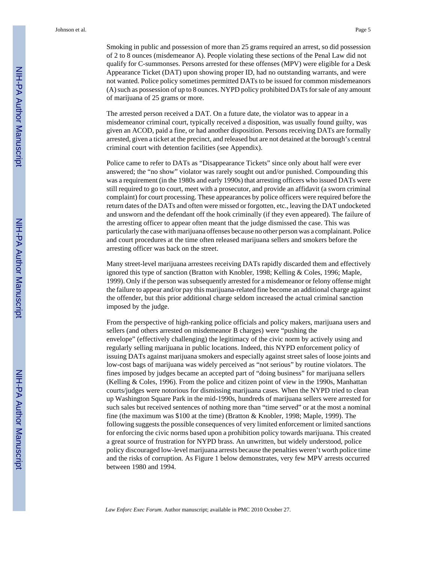Smoking in public and possession of more than 25 grams required an arrest, so did possession of 2 to 8 ounces (misdemeanor A). People violating these sections of the Penal Law did not qualify for C-summonses. Persons arrested for these offenses (MPV) were eligible for a Desk Appearance Ticket (DAT) upon showing proper ID, had no outstanding warrants, and were not wanted. Police policy sometimes permitted DATs to be issued for common misdemeanors (A) such as possession of up to 8 ounces. NYPD policy prohibited DATs for sale of any amount of marijuana of 25 grams or more.

The arrested person received a DAT. On a future date, the violator was to appear in a misdemeanor criminal court, typically received a disposition, was usually found guilty, was given an ACOD, paid a fine, or had another disposition. Persons receiving DATs are formally arrested, given a ticket at the precinct, and released but are not detained at the borough's central criminal court with detention facilities (see Appendix).

Police came to refer to DATs as "Disappearance Tickets" since only about half were ever answered; the "no show" violator was rarely sought out and/or punished. Compounding this was a requirement (in the 1980s and early 1990s) that arresting officers who issued DATs were still required to go to court, meet with a prosecutor, and provide an affidavit (a sworn criminal complaint) for court processing. These appearances by police officers were required before the return dates of the DATs and often were missed or forgotten, etc., leaving the DAT undocketed and unsworn and the defendant off the hook criminally (if they even appeared). The failure of the arresting officer to appear often meant that the judge dismissed the case. This was particularly the case with marijuana offenses because no other person was a complainant. Police and court procedures at the time often released marijuana sellers and smokers before the arresting officer was back on the street.

Many street-level marijuana arrestees receiving DATs rapidly discarded them and effectively ignored this type of sanction (Bratton with Knobler, 1998; Kelling & Coles, 1996; Maple, 1999). Only if the person was subsequently arrested for a misdemeanor or felony offense might the failure to appear and/or pay this marijuana-related fine become an additional charge against the offender, but this prior additional charge seldom increased the actual criminal sanction imposed by the judge.

From the perspective of high-ranking police officials and policy makers, marijuana users and sellers (and others arrested on misdemeanor B charges) were "pushing the envelope" (effectively challenging) the legitimacy of the civic norm by actively using and regularly selling marijuana in public locations. Indeed, this NYPD enforcement policy of issuing DATs against marijuana smokers and especially against street sales of loose joints and low-cost bags of marijuana was widely perceived as "not serious" by routine violators. The fines imposed by judges became an accepted part of "doing business" for marijuana sellers (Kelling & Coles, 1996). From the police and citizen point of view in the 1990s, Manhattan courts/judges were notorious for dismissing marijuana cases. When the NYPD tried to clean up Washington Square Park in the mid-1990s, hundreds of marijuana sellers were arrested for such sales but received sentences of nothing more than "time served" or at the most a nominal fine (the maximum was \$100 at the time) (Bratton & Knobler, 1998; Maple, 1999). The following suggests the possible consequences of very limited enforcement or limited sanctions for enforcing the civic norms based upon a prohibition policy towards marijuana. This created a great source of frustration for NYPD brass. An unwritten, but widely understood, police policy discouraged low-level marijuana arrests because the penalties weren't worth police time and the risks of corruption. As Figure 1 below demonstrates, very few MPV arrests occurred between 1980 and 1994.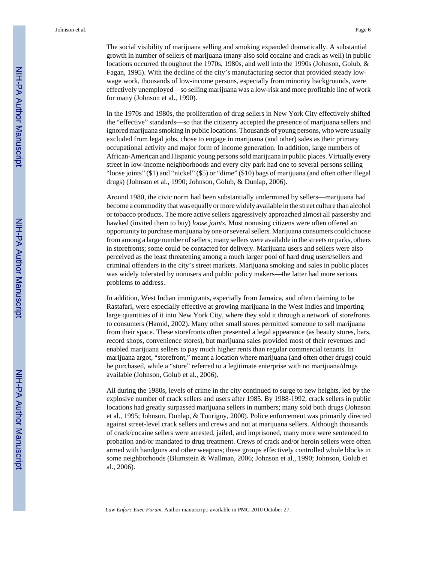The social visibility of marijuana selling and smoking expanded dramatically. A substantial growth in number of sellers of marijuana (many also sold cocaine and crack as well) in public locations occurred throughout the 1970s, 1980s, and well into the 1990s (Johnson, Golub, & Fagan, 1995). With the decline of the city's manufacturing sector that provided steady lowwage work, thousands of low-income persons, especially from minority backgrounds, were effectively unemployed—so selling marijuana was a low-risk and more profitable line of work for many (Johnson et al., 1990).

In the 1970s and 1980s, the proliferation of drug sellers in New York City effectively shifted the "effective" standards—so that the citizenry accepted the presence of marijuana sellers and ignored marijuana smoking in public locations. Thousands of young persons, who were usually excluded from legal jobs, chose to engage in marijuana (and other) sales as their primary occupational activity and major form of income generation. In addition, large numbers of African-American and Hispanic young persons sold marijuana in public places. Virtually every street in low-income neighborhoods and every city park had one to several persons selling "loose joints" (\$1) and "nickel" (\$5) or "dime" (\$10) bags of marijuana (and often other illegal drugs) (Johnson et al., 1990; Johnson, Golub, & Dunlap, 2006).

Around 1980, the civic norm had been substantially undermined by sellers—marijuana had become a commodity that was equally or more widely available in the street culture than alcohol or tobacco products. The more active sellers aggressively approached almost all passersby and hawked (invited them to buy) *loose joints*. Most nonusing citizens were often offered an opportunity to purchase marijuana by one or several sellers. Marijuana consumers could choose from among a large number of sellers; many sellers were available in the streets or parks, others in storefronts; some could be contacted for delivery. Marijuana users and sellers were also perceived as the least threatening among a much larger pool of hard drug users/sellers and criminal offenders in the city's street markets. Marijuana smoking and sales in public places was widely tolerated by nonusers and public policy makers—the latter had more serious problems to address.

In addition, West Indian immigrants, especially from Jamaica, and often claiming to be Rastafari, were especially effective at growing marijuana in the West Indies and importing large quantities of it into New York City, where they sold it through a network of storefronts to consumers (Hamid, 2002). Many other small stores permitted someone to sell marijuana from their space. These storefronts often presented a legal appearance (as beauty stores, bars, record shops, convenience stores), but marijuana sales provided most of their revenues and enabled marijuana sellers to pay much higher rents than regular commercial tenants. In marijuana argot, "storefront," meant a location where marijuana (and often other drugs) could be purchased, while a "store" referred to a legitimate enterprise with no marijuana/drugs available (Johnson, Golub et al., 2006).

All during the 1980s, levels of crime in the city continued to surge to new heights, led by the explosive number of crack sellers and users after 1985. By 1988-1992, crack sellers in public locations had greatly surpassed marijuana sellers in numbers; many sold both drugs (Johnson et al., 1995; Johnson, Dunlap, & Tourigny, 2000). Police enforcement was primarily directed against street-level crack sellers and crews and not at marijuana sellers. Although thousands of crack/cocaine sellers were arrested, jailed, and imprisoned, many more were sentenced to probation and/or mandated to drug treatment. Crews of crack and/or heroin sellers were often armed with handguns and other weapons; these groups effectively controlled whole blocks in some neighborhoods (Blumstein & Wallman, 2006; Johnson et al., 1990; Johnson, Golub et al., 2006).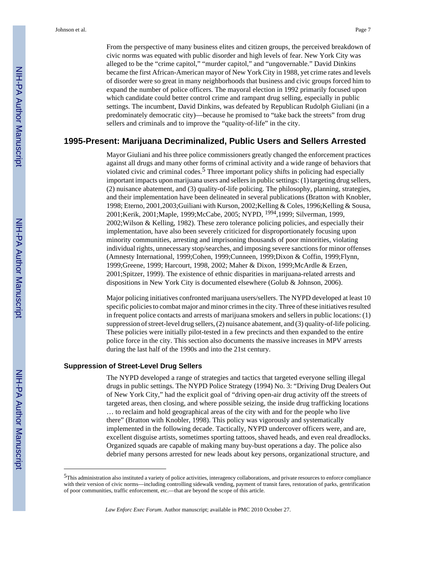From the perspective of many business elites and citizen groups, the perceived breakdown of civic norms was equated with public disorder and high levels of fear. New York City was alleged to be the "crime capitol," "murder capitol," and "ungovernable." David Dinkins became the first African-American mayor of New York City in 1988, yet crime rates and levels of disorder were so great in many neighborhoods that business and civic groups forced him to expand the number of police officers. The mayoral election in 1992 primarily focused upon which candidate could better control crime and rampant drug selling, especially in public settings. The incumbent, David Dinkins, was defeated by Republican Rudolph Giuliani (in a predominately democratic city)—because he promised to "take back the streets" from drug sellers and criminals and to improve the "quality-of-life" in the city.

#### **1995-Present: Marijuana Decriminalized, Public Users and Sellers Arrested**

Mayor Giuliani and his three police commissioners greatly changed the enforcement practices against all drugs and many other forms of criminal activity and a wide range of behaviors that violated civic and criminal codes.<sup>5</sup> Three important policy shifts in policing had especially important impacts upon marijuana users and sellers in public settings: (1) targeting drug sellers, (2) nuisance abatement, and (3) quality-of-life policing. The philosophy, planning, strategies, and their implementation have been delineated in several publications (Bratton with Knobler, 1998; Eterno, 2001,2003;Guiliani with Kurson, 2002;Kelling & Coles, 1996;Kelling & Sousa, 2001;Kerik, 2001;Maple, 1999;McCabe, 2005; NYPD, 1994,1999; Silverman, 1999, 2002;Wilson & Kelling, 1982). These zero tolerance policing policies, and especially their implementation, have also been severely criticized for disproportionately focusing upon minority communities, arresting and imprisoning thousands of poor minorities, violating individual rights, unnecessary stop/searches, and imposing severe sanctions for minor offenses (Amnesty International, 1999;Cohen, 1999;Cunneen, 1999;Dixon & Coffin, 1999;Flynn, 1999;Greene, 1999; Harcourt, 1998, 2002; Maher & Dixon, 1999;McArdle & Erzen, 2001;Spitzer, 1999). The existence of ethnic disparities in marijuana-related arrests and dispositions in New York City is documented elsewhere (Golub & Johnson, 2006).

Major policing initiatives confronted marijuana users/sellers. The NYPD developed at least 10 specific policies to combat major and minor crimes in the city. Three of these initiatives resulted in frequent police contacts and arrests of marijuana smokers and sellers in public locations: (1) suppression of street-level drug sellers, (2) nuisance abatement, and (3) quality-of-life policing. These policies were initially pilot-tested in a few precincts and then expanded to the entire police force in the city. This section also documents the massive increases in MPV arrests during the last half of the 1990s and into the 21st century.

#### **Suppression of Street-Level Drug Sellers**

The NYPD developed a range of strategies and tactics that targeted everyone selling illegal drugs in public settings. The NYPD Police Strategy (1994) No. 3: "Driving Drug Dealers Out of New York City," had the explicit goal of "driving open-air drug activity off the streets of targeted areas, then closing, and where possible seizing, the inside drug trafficking locations … to reclaim and hold geographical areas of the city with and for the people who live there" (Bratton with Knobler, 1998). This policy was vigorously and systematically implemented in the following decade. Tactically, NYPD undercover officers were, and are, excellent disguise artists, sometimes sporting tattoos, shaved heads, and even real dreadlocks. Organized squads are capable of making many buy-bust operations a day. The police also debrief many persons arrested for new leads about key persons, organizational structure, and

<sup>5</sup>This administration also instituted a variety of police activities, interagency collaborations, and private resources to enforce compliance with their version of civic norms—including controlling sidewalk vending, payment of transit fares, restoration of parks, gentrification of poor communities, traffic enforcement, etc.—that are beyond the scope of this article.

*Law Enforc Exec Forum*. Author manuscript; available in PMC 2010 October 27.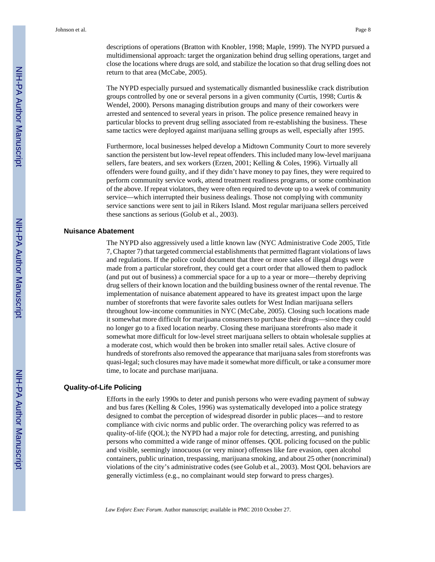descriptions of operations (Bratton with Knobler, 1998; Maple, 1999). The NYPD pursued a multidimensional approach: target the organization behind drug selling operations, target and close the locations where drugs are sold, and stabilize the location so that drug selling does not return to that area (McCabe, 2005).

The NYPD especially pursued and systematically dismantled businesslike crack distribution groups controlled by one or several persons in a given community (Curtis, 1998; Curtis & Wendel, 2000). Persons managing distribution groups and many of their coworkers were arrested and sentenced to several years in prison. The police presence remained heavy in particular blocks to prevent drug selling associated from re-establishing the business. These same tactics were deployed against marijuana selling groups as well, especially after 1995.

Furthermore, local businesses helped develop a Midtown Community Court to more severely sanction the persistent but low-level repeat offenders. This included many low-level marijuana sellers, fare beaters, and sex workers (Erzen, 2001; Kelling & Coles, 1996). Virtually all offenders were found guilty, and if they didn't have money to pay fines, they were required to perform community service work, attend treatment readiness programs, or some combination of the above. If repeat violators, they were often required to devote up to a week of community service—which interrupted their business dealings. Those not complying with community service sanctions were sent to jail in Rikers Island. Most regular marijuana sellers perceived these sanctions as serious (Golub et al., 2003).

#### **Nuisance Abatement**

The NYPD also aggressively used a little known law (NYC Administrative Code 2005, Title 7, Chapter 7) that targeted commercial establishments that permitted flagrant violations of laws and regulations. If the police could document that three or more sales of illegal drugs were made from a particular storefront, they could get a court order that allowed them to padlock (and put out of business) a commercial space for a up to a year or more—thereby depriving drug sellers of their known location and the building business owner of the rental revenue. The implementation of nuisance abatement appeared to have its greatest impact upon the large number of storefronts that were favorite sales outlets for West Indian marijuana sellers throughout low-income communities in NYC (McCabe, 2005). Closing such locations made it somewhat more difficult for marijuana consumers to purchase their drugs—since they could no longer go to a fixed location nearby. Closing these marijuana storefronts also made it somewhat more difficult for low-level street marijuana sellers to obtain wholesale supplies at a moderate cost, which would then be broken into smaller retail sales. Active closure of hundreds of storefronts also removed the appearance that marijuana sales from storefronts was quasi-legal; such closures may have made it somewhat more difficult, or take a consumer more time, to locate and purchase marijuana.

#### **Quality-of-Life Policing**

Efforts in the early 1990s to deter and punish persons who were evading payment of subway and bus fares (Kelling & Coles, 1996) was systematically developed into a police strategy designed to combat the perception of widespread disorder in public places—and to restore compliance with civic norms and public order. The overarching policy was referred to as quality-of-life (QOL); the NYPD had a major role for detecting, arresting, and punishing persons who committed a wide range of minor offenses. QOL policing focused on the public and visible, seemingly innocuous (or very minor) offenses like fare evasion, open alcohol containers, public urination, trespassing, marijuana smoking, and about 25 other (noncriminal) violations of the city's administrative codes (see Golub et al., 2003). Most QOL behaviors are generally victimless (e.g., no complainant would step forward to press charges).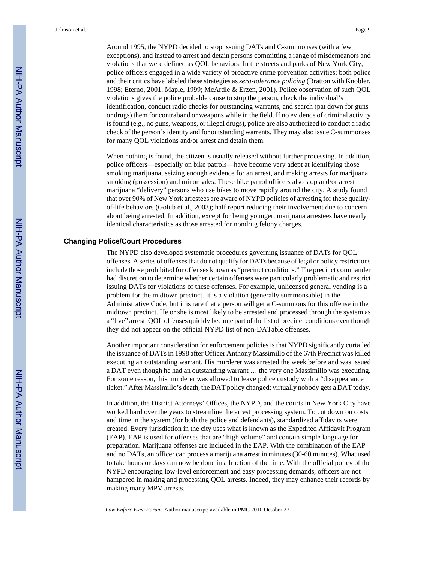Around 1995, the NYPD decided to stop issuing DATs and C-summonses (with a few exceptions), and instead to arrest and detain persons committing a range of misdemeanors and violations that were defined as QOL behaviors. In the streets and parks of New York City, police officers engaged in a wide variety of proactive crime prevention activities; both police and their critics have labeled these strategies as *zero-tolerance policing* (Bratton with Knobler, 1998; Eterno, 2001; Maple, 1999; McArdle & Erzen, 2001). Police observation of such QOL violations gives the police probable cause to stop the person, check the individual's identification, conduct radio checks for outstanding warrants, and search (pat down for guns or drugs) them for contraband or weapons while in the field. If no evidence of criminal activity is found (e.g., no guns, weapons, or illegal drugs), police are also authorized to conduct a radio

When nothing is found, the citizen is usually released without further processing. In addition, police officers—especially on bike patrols—have become very adept at identifying those smoking marijuana, seizing enough evidence for an arrest, and making arrests for marijuana smoking (possession) and minor sales. These bike patrol officers also stop and/or arrest marijuana "delivery" persons who use bikes to move rapidly around the city. A study found that over 90% of New York arrestees are aware of NYPD policies of arresting for these qualityof-life behaviors (Golub et al., 2003); half report reducing their involvement due to concern about being arrested. In addition, except for being younger, marijuana arrestees have nearly identical characteristics as those arrested for nondrug felony charges.

check of the person's identity and for outstanding warrents. They may also issue C-summonses

for many QOL violations and/or arrest and detain them.

#### **Changing Police/Court Procedures**

The NYPD also developed systematic procedures governing issuance of DATs for QOL offenses. A series of offenses that do not qualify for DATs because of legal or policy restrictions include those prohibited for offenses known as "precinct conditions." The precinct commander had discretion to determine whether certain offenses were particularly problematic and restrict issuing DATs for violations of these offenses. For example, unlicensed general vending is a problem for the midtown precinct. It is a violation (generally summonsable) in the Administrative Code, but it is rare that a person will get a C-summons for this offense in the midtown precinct. He or she is most likely to be arrested and processed through the system as a "live" arrest. QOL offenses quickly became part of the list of precinct conditions even though they did not appear on the official NYPD list of non-DATable offenses.

Another important consideration for enforcement policies is that NYPD significantly curtailed the issuance of DATs in 1998 after Officer Anthony Massimillo of the 67th Precinct was killed executing an outstanding warrant. His murderer was arrested the week before and was issued a DAT even though he had an outstanding warrant … the very one Massimillo was executing. For some reason, this murderer was allowed to leave police custody with a "disappearance ticket." After Massimillo's death, the DAT policy changed; virtually nobody gets a DAT today.

In addition, the District Attorneys' Offices, the NYPD, and the courts in New York City have worked hard over the years to streamline the arrest processing system. To cut down on costs and time in the system (for both the police and defendants), standardized affidavits were created. Every jurisdiction in the city uses what is known as the Expedited Affidavit Program (EAP). EAP is used for offenses that are "high volume" and contain simple language for preparation. Marijuana offenses are included in the EAP. With the combination of the EAP and no DATs, an officer can process a marijuana arrest in minutes (30-60 minutes). What used to take hours or days can now be done in a fraction of the time. With the official policy of the NYPD encouraging low-level enforcement and easy processing demands, officers are not hampered in making and processing QOL arrests. Indeed, they may enhance their records by making many MPV arrests.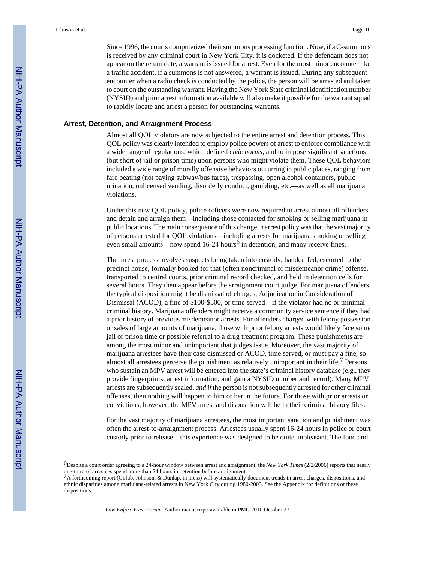Since 1996, the courts computerized their summons processing function. Now, if a C-summons is received by any criminal court in New York City, it is docketed. If the defendant does not appear on the return date, a warrant is issued for arrest. Even for the most minor encounter like a traffic accident, if a summons is not answered, a warrant is issued. During any subsequent encounter when a radio check is conducted by the police, the person will be arrested and taken to court on the outstanding warrant. Having the New York State criminal identification number (NYSID) and prior arrest information available will also make it possible for the warrant squad to rapidly locate and arrest a person for outstanding warrants.

#### **Arrest, Detention, and Arraignment Process**

Almost all QOL violators are now subjected to the entire arrest and detention process. This QOL policy was clearly intended to employ police powers of arrest to enforce compliance with a wide range of regulations, which defined *civic norms*, and to impose significant sanctions (but short of jail or prison time) upon persons who might violate them. These QOL behaviors included a wide range of morally offensive behaviors occurring in public places, ranging from fare beating (not paying subway/bus fares), trespassing, open alcohol containers, public urination, unlicensed vending, disorderly conduct, gambling, etc.—as well as all marijuana violations.

Under this new QOL policy, police officers were now required to arrest almost all offenders and detain and arraign them—including those contacted for smoking or selling marijuana in public locations. The main consequence of this change in arrest policy was that the vast majority of persons arrested for QOL violations—including arrests for marijuana smoking or selling even small amounts—now spend  $16-24$  hours<sup>6</sup> in detention, and many receive fines.

The arrest process involves suspects being taken into custody, handcuffed, escorted to the precinct house, formally booked for that (often noncriminal or misdemeanor crime) offense, transported to central courts, prior criminal record checked, and held in detention cells for several hours. They then appear before the arraignment court judge. For marijuana offenders, the typical disposition might be dismissal of charges, Adjudication in Consideration of Dismissal (ACOD), a fine of \$100-\$500, or time served—if the violator had no or minimal criminal history. Marijuana offenders might receive a community service sentence if they had a prior history of previous misdemeanor arrests. For offenders charged with felony possession or sales of large amounts of marijuana, those with prior felony arrests would likely face some jail or prison time or possible referral to a drug treatment program. These punishments are among the most minor and unimportant that judges issue. Moreover, the vast majority of marijuana arrestees have their case dismissed or ACOD, time served, or must pay a fine, so almost all arrestees perceive the punishment as relatively unimportant in their life.<sup> $\prime$ </sup> Persons who sustain an MPV arrest will be entered into the state's criminal history database (e.g., they provide fingerprints, arrest information, and gain a NYSID number and record). Many MPV arrests are subsequently sealed, *and if* the person is not subsequently arrested for other criminal offenses, then nothing will happen to him or her in the future. For those with prior arrests or convictions, however, the MPV arrest and disposition will be in their criminal history files.

For the vast majority of marijuana arrestees, the most important sanction and punishment was often the arrest-to-arraignment process. Arrestees usually spent 16-24 hours in police or court custody prior to release—this experience was designed to be quite unpleasant. The food and

<sup>6</sup>Despite a court order agreeing to a 24-hour window between arrest and arraignment, the *New York Times* (2/2/2006) reports that nearly one-third of arrestees spend more than 24 hours in detention before arraignment.

<sup>7</sup>A forthcoming report (Golub, Johnson, & Dunlap, in press) will systematically document trends in arrest charges, dispositions, and ethnic disparities among marijuana-related arrests in New York City during 1980-2003. See the Appendix for definitions of these dispositions.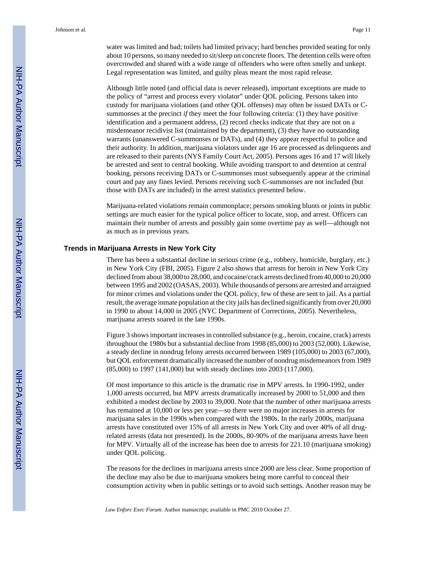water was limited and bad; toilets had limited privacy; hard benches provided seating for only about 10 persons, so many needed to sit/sleep on concrete floors. The detention cells were often overcrowded and shared with a wide range of offenders who were often smelly and unkept. Legal representation was limited, and guilty pleas meant the most rapid release.

Although little noted (and official data is never released), important exceptions are made to the policy of "arrest and process every violator" under QOL policing. Persons taken into custody for marijuana violations (and other QOL offenses) may often be issued DATs or Csummonses at the precinct *if* they meet the four following criteria: (1) they have positive identification and a permanent address, (2) record checks indicate that they are not on a misdemeanor recidivist list (maintained by the department), (3) they have no outstanding warrants (unanswered C-summonses or DATs), and (4) they appear respectful to police and their authority. In addition, marijuana violators under age 16 are processed as delinquents and are released to their parents (NYS Family Court Act, 2005). Persons ages 16 and 17 will likely be arrested and sent to central booking. While avoiding transport to and detention at central booking, persons receiving DATs or C-summonses must subsequently appear at the criminal court and pay any fines levied. Persons receiving such C-summonses are not included (but those with DATs are included) in the arrest statistics presented below.

Marijuana-related violations remain commonplace; persons smoking blunts or joints in public settings are much easier for the typical police officer to locate, stop, and arrest. Officers can maintain their number of arrests and possibly gain some overtime pay as well—although not as much as in previous years.

#### **Trends in Marijuana Arrests in New York City**

There has been a substantial decline in serious crime (e.g., robbery, homicide, burglary, etc.) in New York City (FBI, 2005). Figure 2 also shows that arrests for heroin in New York City declined from about 38,000 to 28,000, and cocaine/crack arrests declined from 40,000 to 20,000 between 1995 and 2002 (OASAS, 2003). While thousands of persons are arrested and arraigned for minor crimes and violations under the QOL policy, few of these are sent to jail. As a partial result, the average inmate population at the city jails has declined significantly from over 20,000 in 1990 to about 14,000 in 2005 (NYC Department of Corrections, 2005). Nevertheless, marijuana arrests soared in the late 1990s.

Figure 3 shows important increases in controlled substance (e.g., heroin, cocaine, crack) arrests throughout the 1980s but a substantial decline from 1998 (85,000) to 2003 (52,000). Likewise, a steady decline in nondrug felony arrests occurred between 1989 (105,000) to 2003 (67,000), but QOL enforcement dramatically increased the number of nondrug misdemeanors from 1989 (85,000) to 1997 (141,000) but with steady declines into 2003 (117,000).

Of most importance to this article is the dramatic rise in MPV arrests. In 1990-1992, under 1,000 arrests occurred, but MPV arrests dramatically increased by 2000 to 51,000 and then exhibited a modest decline by 2003 to 39,000. Note that the number of other marijuana arrests has remained at 10,000 or less per year—so there were no major increases in arrests for marijuana sales in the 1990s when compared with the 1980s. In the early 2000s, marijuana arrests have constituted over 15% of all arrests in New York City and over 40% of all drugrelated arrests (data not presented). In the 2000s, 80-90% of the marijuana arrests have been for MPV. Virtually all of the increase has been due to arrests for 221.10 (marijuana smoking) under QOL policing.

The reasons for the declines in marijuana arrests since 2000 are less clear. Some proportion of the decline may also be due to marijuana smokers being more careful to conceal their consumption activity when in public settings or to avoid such settings. Another reason may be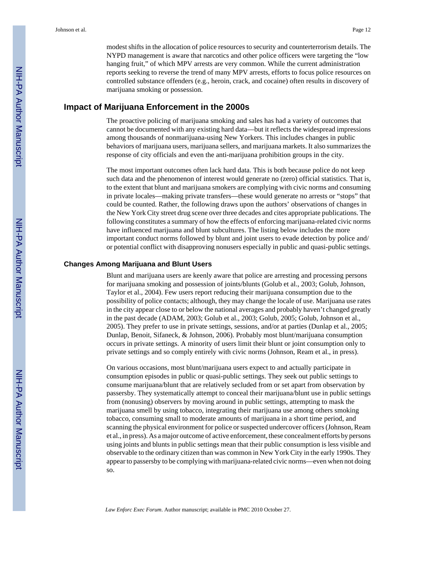modest shifts in the allocation of police resources to security and counterterrorism details. The NYPD management is aware that narcotics and other police officers were targeting the "low hanging fruit," of which MPV arrests are very common. While the current administration reports seeking to reverse the trend of many MPV arrests, efforts to focus police resources on controlled substance offenders (e.g., heroin, crack, and cocaine) often results in discovery of marijuana smoking or possession.

## **Impact of Marijuana Enforcement in the 2000s**

The proactive policing of marijuana smoking and sales has had a variety of outcomes that cannot be documented with any existing hard data—but it reflects the widespread impressions among thousands of nonmarijuana-using New Yorkers. This includes changes in public behaviors of marijuana users, marijuana sellers, and marijuana markets. It also summarizes the response of city officials and even the anti-marijuana prohibition groups in the city.

The most important outcomes often lack hard data. This is both because police do not keep such data and the phenomenon of interest would generate no (zero) official statistics. That is, to the extent that blunt and marijuana smokers are complying with civic norms and consuming in private locales—making private transfers—these would generate no arrests or "stops" that could be counted. Rather, the following draws upon the authors' observations of changes in the New York City street drug scene over three decades and cites appropriate publications. The following constitutes a summary of how the effects of enforcing marijuana-related civic norms have influenced marijuana and blunt subcultures. The listing below includes the more important conduct norms followed by blunt and joint users to evade detection by police and/ or potential conflict with disapproving nonusers especially in public and quasi-public settings.

#### **Changes Among Marijuana and Blunt Users**

Blunt and marijuana users are keenly aware that police are arresting and processing persons for marijuana smoking and possession of joints/blunts (Golub et al., 2003; Golub, Johnson, Taylor et al., 2004). Few users report reducing their marijuana consumption due to the possibility of police contacts; although, they may change the locale of use. Marijuana use rates in the city appear close to or below the national averages and probably haven't changed greatly in the past decade (ADAM, 2003; Golub et al., 2003; Golub, 2005; Golub, Johnson et al., 2005). They prefer to use in private settings, sessions, and/or at parties (Dunlap et al., 2005; Dunlap, Benoit, Sifaneck, & Johnson, 2006). Probably most blunt/marijuana consumption occurs in private settings. A minority of users limit their blunt or joint consumption only to private settings and so comply entirely with civic norms (Johnson, Ream et al., in press).

On various occasions, most blunt/marijuana users expect to and actually participate in consumption episodes in public or quasi-public settings. They seek out public settings to consume marijuana/blunt that are relatively secluded from or set apart from observation by passersby. They systematically attempt to conceal their marijuana/blunt use in public settings from (nonusing) observers by moving around in public settings, attempting to mask the marijuana smell by using tobacco, integrating their marijuana use among others smoking tobacco, consuming small to moderate amounts of marijuana in a short time period, and scanning the physical environment for police or suspected undercover officers (Johnson, Ream et al., in press). As a major outcome of active enforcement, these concealment efforts by persons using joints and blunts in public settings mean that their public consumption is less visible and observable to the ordinary citizen than was common in New York City in the early 1990s. They appear to passersby to be complying with marijuana-related civic norms—even when not doing so.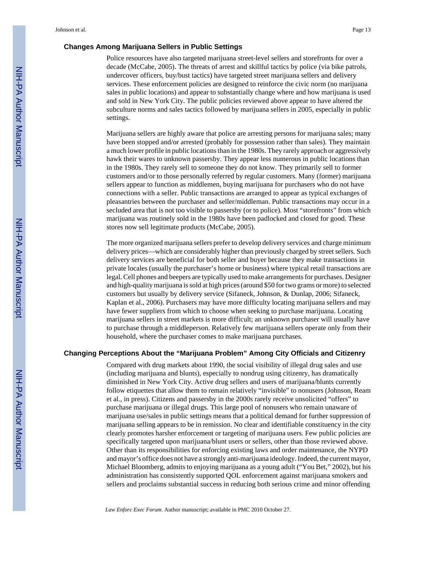#### **Changes Among Marijuana Sellers in Public Settings**

Police resources have also targeted marijuana street-level sellers and storefronts for over a decade (McCabe, 2005). The threats of arrest and skillful tactics by police (via bike patrols, undercover officers, buy/bust tactics) have targeted street marijuana sellers and delivery services. These enforcement policies are designed to reinforce the civic norm (no marijuana sales in public locations) and appear to substantially change where and how marijuana is used and sold in New York City. The public policies reviewed above appear to have altered the subculture norms and sales tactics followed by marijuana sellers in 2005, especially in public settings.

Marijuana sellers are highly aware that police are arresting persons for marijuana sales; many have been stopped and/or arrested (probably for possession rather than sales). They maintain a much lower profile in public locations than in the 1980s. They rarely approach or aggressively hawk their wares to unknown passersby. They appear less numerous in public locations than in the 1980s. They rarely sell to someone they do not know. They primarily sell to former customers and/or to those personally referred by regular customers. Many (former) marijuana sellers appear to function as middlemen, buying marijuana for purchasers who do not have connections with a seller. Public transactions are arranged to appear as typical exchanges of pleasantries between the purchaser and seller/middleman. Public transactions may occur in a secluded area that is not too visible to passersby (or to police). Most "storefronts" from which marijuana was routinely sold in the 1980s have been padlocked and closed for good. These stores now sell legitimate products (McCabe, 2005).

The more organized marijuana sellers prefer to develop delivery services and charge minimum delivery prices—which are considerably higher than previously charged by street sellers. Such delivery services are beneficial for both seller and buyer because they make transactions in private locales (usually the purchaser's home or business) where typical retail transactions are legal. Cell phones and beepers are typically used to make arrangements for purchases. Designer and high-quality marijuana is sold at high prices (around \$50 for two grams or more) to selected customers but usually by delivery service (Sifaneck, Johnson, & Dunlap, 2006; Sifaneck, Kaplan et al., 2006). Purchasers may have more difficulty locating marijuana sellers and may have fewer suppliers from which to choose when seeking to purchase marijuana. Locating marijuana sellers in street markets is more difficult; an unknown purchaser will usually have to purchase through a middleperson. Relatively few marijuana sellers operate only from their household, where the purchaser comes to make marijuana purchases.

#### **Changing Perceptions About the "Marijuana Problem" Among City Officials and Citizenry**

Compared with drug markets about 1990, the social visibility of illegal drug sales and use (including marijuana and blunts), especially to nondrug using citizenry, has dramatically diminished in New York City. Active drug sellers and users of marijuana/blunts currently follow etiquettes that allow them to remain relatively "invisible" to nonusers (Johnson, Ream et al., in press). Citizens and passersby in the 2000s rarely receive unsolicited "offers" to purchase marijuana or illegal drugs. This large pool of nonusers who remain unaware of marijuana use/sales in public settings means that a political demand for further suppression of marijuana selling appears to be in remission. No clear and identifiable constituency in the city clearly promotes harsher enforcement or targeting of marijuana users. Few public policies are specifically targeted upon marijuana/blunt users or sellers, other than those reviewed above. Other than its responsibilities for enforcing existing laws and order maintenance, the NYPD and mayor's office does not have a strongly anti-marijuana ideology. Indeed, the current mayor, Michael Bloomberg, admits to enjoying marijuana as a young adult ("You Bet," 2002), but his administration has consistently supported QOL enforcement against marijuana smokers and sellers and proclaims substantial success in reducing both serious crime and minor offending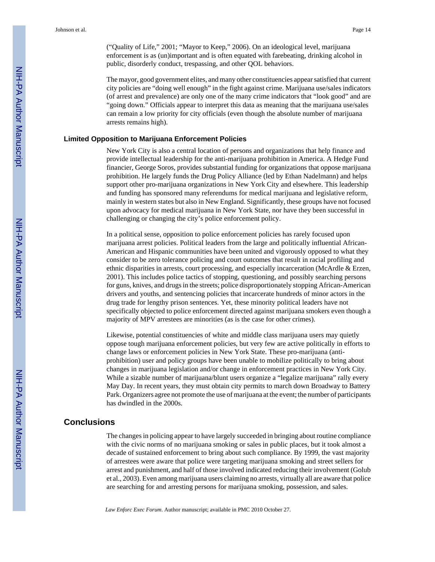("Quality of Life," 2001; "Mayor to Keep," 2006). On an ideological level, marijuana enforcement is as (un)important and is often equated with farebeating, drinking alcohol in public, disorderly conduct, trespassing, and other QOL behaviors.

The mayor, good government elites, and many other constituencies appear satisfied that current city policies are "doing well enough" in the fight against crime. Marijuana use/sales indicators (of arrest and prevalence) are only one of the many crime indicators that "look good" and are "going down." Officials appear to interpret this data as meaning that the marijuana use/sales can remain a low priority for city officials (even though the absolute number of marijuana arrests remains high).

#### **Limited Opposition to Marijuana Enforcement Policies**

New York City is also a central location of persons and organizations that help finance and provide intellectual leadership for the anti-marijuana prohibition in America. A Hedge Fund financier, George Soros, provides substantial funding for organizations that oppose marijuana prohibition. He largely funds the Drug Policy Alliance (led by Ethan Nadelmann) and helps support other pro-marijuana organizations in New York City and elsewhere. This leadership and funding has sponsored many referendums for medical marijuana and legislative reform, mainly in western states but also in New England. Significantly, these groups have not focused upon advocacy for medical marijuana in New York State, nor have they been successful in challenging or changing the city's police enforcement policy.

In a political sense, opposition to police enforcement policies has rarely focused upon marijuana arrest policies. Political leaders from the large and politically influential African-American and Hispanic communities have been united and vigorously opposed to what they consider to be zero tolerance policing and court outcomes that result in racial profiling and ethnic disparities in arrests, court processing, and especially incarceration (McArdle & Erzen, 2001). This includes police tactics of stopping, questioning, and possibly searching persons for guns, knives, and drugs in the streets; police disproportionately stopping African-American drivers and youths, and sentencing policies that incarcerate hundreds of minor actors in the drug trade for lengthy prison sentences. Yet, these minority political leaders have not specifically objected to police enforcement directed against marijuana smokers even though a majority of MPV arrestees are minorities (as is the case for other crimes).

Likewise, potential constituencies of white and middle class marijuana users may quietly oppose tough marijuana enforcement policies, but very few are active politically in efforts to change laws or enforcement policies in New York State. These pro-marijuana (antiprohibition) user and policy groups have been unable to mobilize politically to bring about changes in marijuana legislation and/or change in enforcement practices in New York City. While a sizable number of marijuana/blunt users organize a "legalize marijuana" rally every May Day. In recent years, they must obtain city permits to march down Broadway to Battery Park. Organizers agree not promote the use of marijuana at the event; the number of participants has dwindled in the 2000s.

### **Conclusions**

The changes in policing appear to have largely succeeded in bringing about routine compliance with the civic norms of no marijuana smoking or sales in public places, but it took almost a decade of sustained enforcement to bring about such compliance. By 1999, the vast majority of arrestees were aware that police were targeting marijuana smoking and street sellers for arrest and punishment, and half of those involved indicated reducing their involvement (Golub et al., 2003). Even among marijuana users claiming no arrests, virtually all are aware that police are searching for and arresting persons for marijuana smoking, possession, and sales.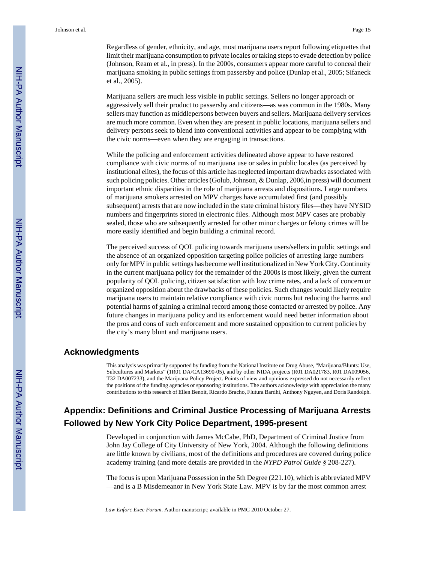Regardless of gender, ethnicity, and age, most marijuana users report following etiquettes that limit their marijuana consumption to private locales or taking steps to evade detection by police (Johnson, Ream et al., in press). In the 2000s, consumers appear more careful to conceal their marijuana smoking in public settings from passersby and police (Dunlap et al., 2005; Sifaneck et al., 2005).

Marijuana sellers are much less visible in public settings. Sellers no longer approach or aggressively sell their product to passersby and citizens—as was common in the 1980s. Many sellers may function as middlepersons between buyers and sellers. Marijuana delivery services are much more common. Even when they are present in public locations, marijuana sellers and delivery persons seek to blend into conventional activities and appear to be complying with the civic norms—even when they are engaging in transactions.

While the policing and enforcement activities delineated above appear to have restored compliance with civic norms of no marijuana use or sales in public locales (as perceived by institutional elites), the focus of this article has neglected important drawbacks associated with such policing policies. Other articles (Golub, Johnson, & Dunlap, 2006,in press) will document important ethnic disparities in the role of marijuana arrests and dispositions. Large numbers of marijuana smokers arrested on MPV charges have accumulated first (and possibly subsequent) arrests that are now included in the state criminal history files—they have NYSID numbers and fingerprints stored in electronic files. Although most MPV cases are probably sealed, those who are subsequently arrested for other minor charges or felony crimes will be more easily identified and begin building a criminal record.

The perceived success of QOL policing towards marijuana users/sellers in public settings and the absence of an organized opposition targeting police policies of arresting large numbers only for MPV in public settings has become well institutionalized in New York City. Continuity in the current marijuana policy for the remainder of the 2000s is most likely, given the current popularity of QOL policing, citizen satisfaction with low crime rates, and a lack of concern or organized opposition about the drawbacks of these policies. Such changes would likely require marijuana users to maintain relative compliance with civic norms but reducing the harms and potential harms of gaining a criminal record among those contacted or arrested by police. Any future changes in marijuana policy and its enforcement would need better information about the pros and cons of such enforcement and more sustained opposition to current policies by the city's many blunt and marijuana users.

#### **Acknowledgments**

This analysis was primarily supported by funding from the National Institute on Drug Abuse, "Marijuana/Blunts: Use, Subcultures and Markets" (1R01 DA/CA13690-05), and by other NIDA projects (R01 DA021783, R01 DA009056, T32 DA007233), and the Marijuana Policy Project. Points of view and opinions expressed do not necessarily reflect the positions of the funding agencies or sponsoring institutions. The authors acknowledge with appreciation the many contributions to this research of Ellen Benoit, Ricardo Bracho, Flutura Bardhi, Anthony Nguyen, and Doris Randolph.

# **Appendix: Definitions and Criminal Justice Processing of Marijuana Arrests Followed by New York City Police Department, 1995-present**

Developed in conjunction with James McCabe, PhD, Department of Criminal Justice from John Jay College of City University of New York, 2004. Although the following definitions are little known by civilians, most of the definitions and procedures are covered during police academy training (and more details are provided in the *NYPD Patrol Guide §* 208-227).

The focus is upon Marijuana Possession in the 5th Degree (221.10), which is abbreviated MPV —and is a B Misdemeanor in New York State Law. MPV is by far the most common arrest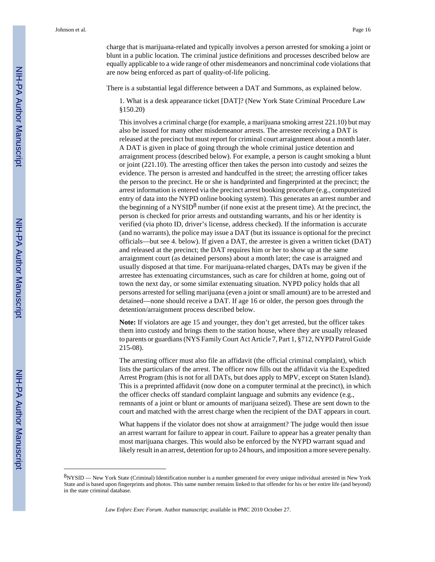charge that is marijuana-related and typically involves a person arrested for smoking a joint or blunt in a public location. The criminal justice definitions and processes described below are equally applicable to a wide range of other misdemeanors and noncriminal code violations that are now being enforced as part of quality-of-life policing.

There is a substantial legal difference between a DAT and Summons, as explained below.

1. What is a desk appearance ticket [DAT]? (New York State Criminal Procedure Law §150.20)

This involves a criminal charge (for example, a marijuana smoking arrest 221.10) but may also be issued for many other misdemeanor arrests. The arrestee receiving a DAT is released at the precinct but must report for criminal court arraignment about a month later. A DAT is given in place of going through the whole criminal justice detention and arraignment process (described below). For example, a person is caught smoking a blunt or joint (221.10). The arresting officer then takes the person into custody and seizes the evidence. The person is arrested and handcuffed in the street; the arresting officer takes the person to the precinct. He or she is handprinted and fingerprinted at the precinct; the arrest information is entered via the precinct arrest booking procedure (e.g., computerized entry of data into the NYPD online booking system). This generates an arrest number and the beginning of a  $NYSID<sup>8</sup>$  number (if none exist at the present time). At the precinct, the person is checked for prior arrests and outstanding warrants, and his or her identity is verified (via photo ID, driver's license, address checked). If the information is accurate (and no warrants), the police may issue a DAT (but its issuance is optional for the precinct officials—but see 4. below). If given a DAT, the arrestee is given a written ticket (DAT) and released at the precinct; the DAT requires him or her to show up at the same arraignment court (as detained persons) about a month later; the case is arraigned and usually disposed at that time. For marijuana-related charges, DATs may be given if the arrestee has extenuating circumstances, such as care for children at home, going out of town the next day, or some similar extenuating situation. NYPD policy holds that all persons arrested for selling marijuana (even a joint or small amount) are to be arrested and detained—none should receive a DAT. If age 16 or older, the person goes through the detention/arraignment process described below.

**Note:** If violators are age 15 and younger, they don't get arrested, but the officer takes them into custody and brings them to the station house, where they are usually released to parents or guardians (NYS Family Court Act Article 7, Part 1, §712, NYPD Patrol Guide 215-08).

The arresting officer must also file an affidavit (the official criminal complaint), which lists the particulars of the arrest. The officer now fills out the affidavit via the Expedited Arrest Program (this is not for all DATs, but does apply to MPV, except on Staten Island). This is a preprinted affidavit (now done on a computer terminal at the precinct), in which the officer checks off standard complaint language and submits any evidence (e.g., remnants of a joint or blunt or amounts of marijuana seized). These are sent down to the court and matched with the arrest charge when the recipient of the DAT appears in court.

What happens if the violator does not show at arraignment? The judge would then issue an arrest warrant for failure to appear in court. Failure to appear has a greater penalty than most marijuana charges. This would also be enforced by the NYPD warrant squad and likely result in an arrest, detention for up to 24 hours, and imposition a more severe penalty.

<sup>8</sup>NYSID — New York State (Criminal) Identification number is a number generated for every unique individual arrested in New York State and is based upon fingerprints and photos. This same number remains linked to that offender for his or her entire life (and beyond) in the state criminal database.

*Law Enforc Exec Forum*. Author manuscript; available in PMC 2010 October 27.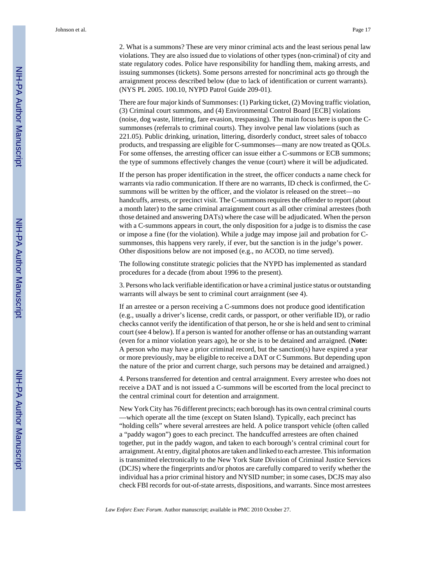2. What is a summons? These are very minor criminal acts and the least serious penal law violations. They are also issued due to violations of other types (non-criminal) of city and state regulatory codes. Police have responsibility for handling them, making arrests, and issuing summonses (tickets). Some persons arrested for noncriminal acts go through the arraignment process described below (due to lack of identification or current warrants). (NYS PL 2005. 100.10, NYPD Patrol Guide 209-01).

There are four major kinds of Summonses: (1) Parking ticket, (2) Moving traffic violation, (3) Criminal court summons, and (4) Environmental Control Board [ECB] violations (noise, dog waste, littering, fare evasion, trespassing). The main focus here is upon the Csummonses (referrals to criminal courts). They involve penal law violations (such as 221.05). Public drinking, urination, littering, disorderly conduct, street sales of tobacco products, and trespassing are eligible for C-summonses—many are now treated as QOLs. For some offenses, the arresting officer can issue either a C-summons or ECB summons; the type of summons effectively changes the venue (court) where it will be adjudicated.

If the person has proper identification in the street, the officer conducts a name check for warrants via radio communication. If there are no warrants, ID check is confirmed, the Csummons will be written by the officer, and the violator is released on the street—no handcuffs, arrests, or precinct visit. The C-summons requires the offender to report (about a month later) to the same criminal arraignment court as all other criminal arrestees (both those detained and answering DATs) where the case will be adjudicated. When the person with a C-summons appears in court, the only disposition for a judge is to dismiss the case or impose a fine (for the violation). While a judge may impose jail and probation for Csummonses, this happens very rarely, if ever, but the sanction is in the judge's power. Other dispositions below are not imposed (e.g., no ACOD, no time served).

The following constitute strategic policies that the NYPD has implemented as standard procedures for a decade (from about 1996 to the present).

3. Persons who lack verifiable identification or have a criminal justice status or outstanding warrants will always be sent to criminal court arraignment (see 4).

If an arrestee or a person receiving a C-summons does not produce good identification (e.g., usually a driver's license, credit cards, or passport, or other verifiable ID), or radio checks cannot verify the identification of that person, he or she is held and sent to criminal court (see 4 below). If a person is wanted for another offense or has an outstanding warrant (even for a minor violation years ago), he or she is to be detained and arraigned. (**Note:** A person who may have a prior criminal record, but the sanction(s) have expired a year or more previously, may be eligible to receive a DAT or C Summons. But depending upon the nature of the prior and current charge, such persons may be detained and arraigned.)

4. Persons transferred for detention and central arraignment. Every arrestee who does not receive a DAT and is not issued a C-summons will be escorted from the local precinct to the central criminal court for detention and arraignment.

New York City has 76 different precincts; each borough has its own central criminal courts —which operate all the time (except on Staten Island). Typically, each precinct has "holding cells" where several arrestees are held. A police transport vehicle (often called a "paddy wagon") goes to each precinct. The handcuffed arrestees are often chained together, put in the paddy wagon, and taken to each borough's central criminal court for arraignment. At entry, digital photos are taken and linked to each arrestee. This information is transmitted electronically to the New York State Division of Criminal Justice Services (DCJS) where the fingerprints and/or photos are carefully compared to verify whether the individual has a prior criminal history and NYSID number; in some cases, DCJS may also check FBI records for out-of-state arrests, dispositions, and warrants. Since most arrestees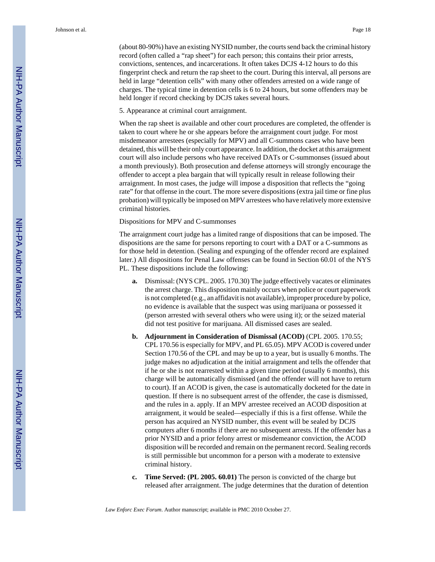(about 80-90%) have an existing NYSID number, the courts send back the criminal history record (often called a "rap sheet") for each person; this contains their prior arrests, convictions, sentences, and incarcerations. It often takes DCJS 4-12 hours to do this fingerprint check and return the rap sheet to the court. During this interval, all persons are held in large "detention cells" with many other offenders arrested on a wide range of charges. The typical time in detention cells is 6 to 24 hours, but some offenders may be held longer if record checking by DCJS takes several hours.

5. Appearance at criminal court arraignment.

When the rap sheet is available and other court procedures are completed, the offender is taken to court where he or she appears before the arraignment court judge. For most misdemeanor arrestees (especially for MPV) and all C-summons cases who have been detained, this will be their only court appearance. In addition, the docket at this arraignment court will also include persons who have received DATs or C-summonses (issued about a month previously). Both prosecution and defense attorneys will strongly encourage the offender to accept a plea bargain that will typically result in release following their arraignment. In most cases, the judge will impose a disposition that reflects the "going rate" for that offense in the court. The more severe dispositions (extra jail time or fine plus probation) will typically be imposed on MPV arrestees who have relatively more extensive criminal histories.

Dispositions for MPV and C-summonses

The arraignment court judge has a limited range of dispositions that can be imposed. The dispositions are the same for persons reporting to court with a DAT or a C-summons as for those held in detention. (Sealing and expunging of the offender record are explained later.) All dispositions for Penal Law offenses can be found in Section 60.01 of the NYS PL. These dispositions include the following:

- **a.** Dismissal: (NYS CPL. 2005. 170.30) The judge effectively vacates or eliminates the arrest charge. This disposition mainly occurs when police or court paperwork is not completed (e.g., an affidavit is not available), improper procedure by police, no evidence is available that the suspect was using marijuana or possessed it (person arrested with several others who were using it); or the seized material did not test positive for marijuana. All dismissed cases are sealed.
- **b. Adjournment in Consideration of Dismissal (ACOD)** (CPL 2005. 170.55; CPL 170.56 is especially for MPV, and PL 65.05). MPV ACOD is covered under Section 170.56 of the CPL and may be up to a year, but is usually 6 months. The judge makes no adjudication at the initial arraignment and tells the offender that if he or she is not rearrested within a given time period (usually 6 months), this charge will be automatically dismissed (and the offender will not have to return to court). If an ACOD is given, the case is automatically docketed for the date in question. If there is no subsequent arrest of the offender, the case is dismissed, and the rules in a. apply. If an MPV arrestee received an ACOD disposition at arraignment, it would be sealed—especially if this is a first offense. While the person has acquired an NYSID number, this event will be sealed by DCJS computers after 6 months if there are no subsequent arrests. If the offender has a prior NYSID and a prior felony arrest or misdemeanor conviction, the ACOD disposition will be recorded and remain on the permanent record. Sealing records is still permissible but uncommon for a person with a moderate to extensive criminal history.
- **c. Time Served: (PL 2005. 60.01)** The person is convicted of the charge but released after arraignment. The judge determines that the duration of detention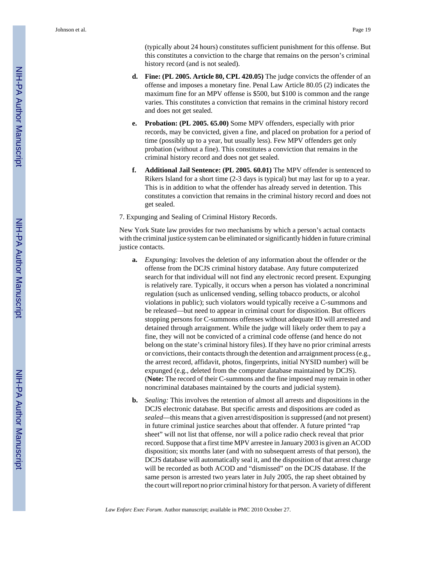(typically about 24 hours) constitutes sufficient punishment for this offense. But this constitutes a conviction to the charge that remains on the person's criminal history record (and is not sealed).

- **d. Fine: (PL 2005. Article 80, CPL 420.05)** The judge convicts the offender of an offense and imposes a monetary fine. Penal Law Article 80.05 (2) indicates the maximum fine for an MPV offense is \$500, but \$100 is common and the range varies. This constitutes a conviction that remains in the criminal history record and does not get sealed.
- **e. Probation: (PL 2005. 65.00)** Some MPV offenders, especially with prior records, may be convicted, given a fine, and placed on probation for a period of time (possibly up to a year, but usually less). Few MPV offenders get only probation (without a fine). This constitutes a conviction that remains in the criminal history record and does not get sealed.
- **f. Additional Jail Sentence: (PL 2005. 60.01)** The MPV offender is sentenced to Rikers Island for a short time (2-3 days is typical) but may last for up to a year. This is in addition to what the offender has already served in detention. This constitutes a conviction that remains in the criminal history record and does not get sealed.

7. Expunging and Sealing of Criminal History Records.

New York State law provides for two mechanisms by which a person's actual contacts with the criminal justice system can be eliminated or significantly hidden in future criminal justice contacts.

- **a.** *Expunging:* Involves the deletion of any information about the offender or the offense from the DCJS criminal history database. Any future computerized search for that individual will not find any electronic record present. Expunging is relatively rare. Typically, it occurs when a person has violated a noncriminal regulation (such as unlicensed vending, selling tobacco products, or alcohol violations in public); such violators would typically receive a C-summons and be released—but need to appear in criminal court for disposition. But officers stopping persons for C-summons offenses without adequate ID will arrested and detained through arraignment. While the judge will likely order them to pay a fine, they will not be convicted of a criminal code offense (and hence do not belong on the state's criminal history files). If they have no prior criminal arrests or convictions, their contacts through the detention and arraignment process (e.g., the arrest record, affidavit, photos, fingerprints, initial NYSID number) will be expunged (e.g., deleted from the computer database maintained by DCJS). (**Note:** The record of their C-summons and the fine imposed may remain in other noncriminal databases maintained by the courts and judicial system).
- **b.** *Sealing:* This involves the retention of almost all arrests and dispositions in the DCJS electronic database. But specific arrests and dispositions are coded as *sealed*—this means that a given arrest/disposition is suppressed (and not present) in future criminal justice searches about that offender. A future printed "rap sheet" will not list that offense, nor will a police radio check reveal that prior record. Suppose that a first time MPV arrestee in January 2003 is given an ACOD disposition; six months later (and with no subsequent arrests of that person), the DCJS database will automatically seal it, and the disposition of that arrest charge will be recorded as both ACOD and "dismissed" on the DCJS database. If the same person is arrested two years later in July 2005, the rap sheet obtained by the court will report no prior criminal history for that person. A variety of different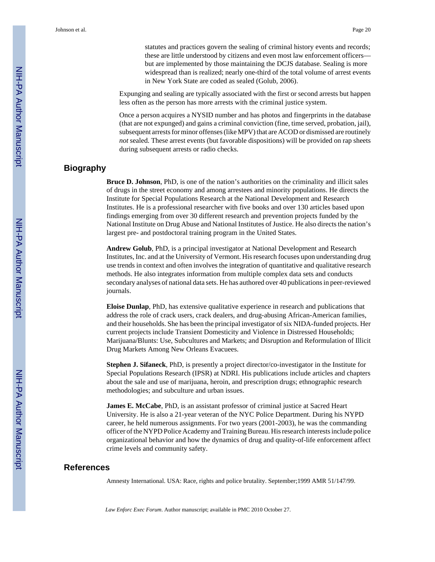statutes and practices govern the sealing of criminal history events and records; these are little understood by citizens and even most law enforcement officers but are implemented by those maintaining the DCJS database. Sealing is more widespread than is realized; nearly one-third of the total volume of arrest events in New York State are coded as sealed (Golub, 2006).

Expunging and sealing are typically associated with the first or second arrests but happen less often as the person has more arrests with the criminal justice system.

Once a person acquires a NYSID number and has photos and fingerprints in the database (that are not expunged) and gains a criminal conviction (fine, time served, probation, jail), subsequent arrests for minor offenses (like MPV) that are ACOD or dismissed are routinely *not* sealed. These arrest events (but favorable dispositions) will be provided on rap sheets during subsequent arrests or radio checks.

## **Biography**

**Bruce D. Johnson**, PhD, is one of the nation's authorities on the criminality and illicit sales of drugs in the street economy and among arrestees and minority populations. He directs the Institute for Special Populations Research at the National Development and Research Institutes. He is a professional researcher with five books and over 130 articles based upon findings emerging from over 30 different research and prevention projects funded by the National Institute on Drug Abuse and National Institutes of Justice. He also directs the nation's largest pre- and postdoctoral training program in the United States.

**Andrew Golub**, PhD, is a principal investigator at National Development and Research Institutes, Inc. and at the University of Vermont. His research focuses upon understanding drug use trends in context and often involves the integration of quantitative and qualitative research methods. He also integrates information from multiple complex data sets and conducts secondary analyses of national data sets. He has authored over 40 publications in peer-reviewed journals.

**Eloise Dunlap**, PhD, has extensive qualitative experience in research and publications that address the role of crack users, crack dealers, and drug-abusing African-American families, and their households. She has been the principal investigator of six NIDA-funded projects. Her current projects include Transient Domesticity and Violence in Distressed Households; Marijuana/Blunts: Use, Subcultures and Markets; and Disruption and Reformulation of Illicit Drug Markets Among New Orleans Evacuees.

**Stephen J. Sifaneck**, PhD, is presently a project director/co-investigator in the Institute for Special Populations Research (IPSR) at NDRI. His publications include articles and chapters about the sale and use of marijuana, heroin, and prescription drugs; ethnographic research methodologies; and subculture and urban issues.

**James E. McCabe**, PhD, is an assistant professor of criminal justice at Sacred Heart University. He is also a 21-year veteran of the NYC Police Department. During his NYPD career, he held numerous assignments. For two years (2001-2003), he was the commanding officer of the NYPD Police Academy and Training Bureau. His research interests include police organizational behavior and how the dynamics of drug and quality-of-life enforcement affect crime levels and community safety.

### **References**

Amnesty International. USA: Race, rights and police brutality. September;1999 AMR 51/147/99.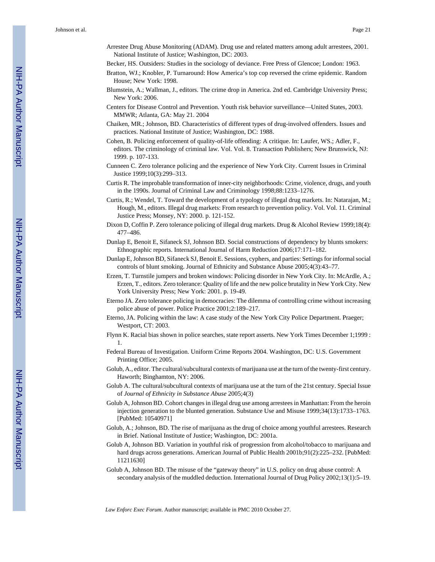- Arrestee Drug Abuse Monitoring (ADAM). Drug use and related matters among adult arrestees, 2001. National Institute of Justice; Washington, DC: 2003.
- Becker, HS. Outsiders: Studies in the sociology of deviance. Free Press of Glencoe; London: 1963.
- Bratton, WJ.; Knobler, P. Turnaround: How America's top cop reversed the crime epidemic. Random House; New York: 1998.
- Blumstein, A.; Wallman, J., editors. The crime drop in America. 2nd ed. Cambridge University Press; New York: 2006.
- Centers for Disease Control and Prevention. Youth risk behavior surveillance—United States, 2003. MMWR; Atlanta, GA: May 21. 2004
- Chaiken, MR.; Johnson, BD. Characteristics of different types of drug-involved offenders. Issues and practices. National Institute of Justice; Washington, DC: 1988.
- Cohen, B. Policing enforcement of quality-of-life offending: A critique. In: Laufer, WS.; Adler, F., editors. The criminology of criminal law. Vol. Vol. 8. Transaction Publishers; New Brunswick, NJ: 1999. p. 107-133.
- Cunneen C. Zero tolerance policing and the experience of New York City. Current Issues in Criminal Justice 1999;10(3):299–313.
- Curtis R. The improbable transformation of inner-city neighborhoods: Crime, violence, drugs, and youth in the 1990s. Journal of Criminal Law and Criminology 1998;88:1233–1276.
- Curtis, R.; Wendel, T. Toward the development of a typology of illegal drug markets. In: Natarajan, M.; Hough, M., editors. Illegal drug markets: From research to prevention policy. Vol. Vol. 11. Criminal Justice Press; Monsey, NY: 2000. p. 121-152.
- Dixon D, Coffin P. Zero tolerance policing of illegal drug markets. Drug & Alcohol Review 1999;18(4): 477–486.
- Dunlap E, Benoit E, Sifaneck SJ, Johnson BD. Social constructions of dependency by blunts smokers: Ethnographic reports. International Journal of Harm Reduction 2006;17:171–182.
- Dunlap E, Johnson BD, Sifaneck SJ, Benoit E. Sessions, cyphers, and parties: Settings for informal social controls of blunt smoking. Journal of Ethnicity and Substance Abuse 2005;4(3):43–77.
- Erzen, T. Turnstile jumpers and broken windows: Policing disorder in New York City. In: McArdle, A.; Erzen, T., editors. Zero tolerance: Quality of life and the new police brutality in New York City. New York University Press; New York: 2001. p. 19-49.
- Eterno JA. Zero tolerance policing in democracies: The dilemma of controlling crime without increasing police abuse of power. Police Practice 2001;2:189–217.
- Eterno, JA. Policing within the law: A case study of the New York City Police Department. Praeger; Westport, CT: 2003.
- Flynn K. Racial bias shown in police searches, state report asserts. New York Times December 1;1999 : 1.
- Federal Bureau of Investigation. Uniform Crime Reports 2004. Washington, DC: U.S. Government Printing Office; 2005.
- Golub, A., editor. The cultural/subcultural contexts of marijuana use at the turn of the twenty-first century. Haworth; Binghamton, NY: 2006.
- Golub A. The cultural/subcultural contexts of marijuana use at the turn of the 21st century. Special Issue of *Journal of Ethnicity in Substance Abuse* 2005;4(3)
- Golub A, Johnson BD. Cohort changes in illegal drug use among arrestees in Manhattan: From the heroin injection generation to the blunted generation. Substance Use and Misuse 1999;34(13):1733–1763. [PubMed: 10540971]
- Golub, A.; Johnson, BD. The rise of marijuana as the drug of choice among youthful arrestees. Research in Brief. National Institute of Justice; Washington, DC: 2001a.
- Golub A, Johnson BD. Variation in youthful risk of progression from alcohol/tobacco to marijuana and hard drugs across generations. American Journal of Public Health 2001b;91(2):225–232. [PubMed: 11211630]
- Golub A, Johnson BD. The misuse of the "gateway theory" in U.S. policy on drug abuse control: A secondary analysis of the muddled deduction. International Journal of Drug Policy 2002;13(1):5–19.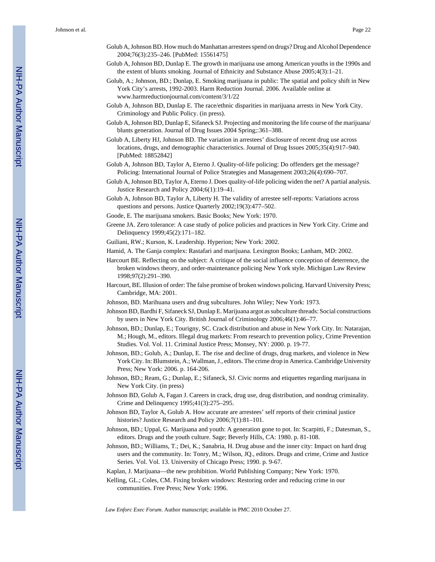- Golub A, Johnson BD. How much do Manhattan arrestees spend on drugs? Drug and Alcohol Dependence 2004;76(3):235–246. [PubMed: 15561475]
- Golub A, Johnson BD, Dunlap E. The growth in marijuana use among American youths in the 1990s and the extent of blunts smoking. Journal of Ethnicity and Substance Abuse 2005;4(3):1–21.
- Golub, A.; Johnson, BD.; Dunlap, E. Smoking marijuana in public: The spatial and policy shift in New York City's arrests, 1992-2003. Harm Reduction Journal. 2006. Available online at [www.harmreductionjournal.com/content/3/1/22](http://www.harmreductionjournal.com/content/3/1/22)
- Golub A, Johnson BD, Dunlap E. The race/ethnic disparities in marijuana arrests in New York City. Criminology and Public Policy. (in press).
- Golub A, Johnson BD, Dunlap E, Sifaneck SJ. Projecting and monitoring the life course of the marijuana/ blunts generation. Journal of Drug Issues 2004 Spring;:361–388.
- Golub A, Liberty HJ, Johnson BD. The variation in arrestees' disclosure of recent drug use across locations, drugs, and demographic characteristics. Journal of Drug Issues 2005;35(4):917–940. [PubMed: 18852842]
- Golub A, Johnson BD, Taylor A, Eterno J. Quality-of-life policing: Do offenders get the message? Policing: International Journal of Police Strategies and Management 2003;26(4):690–707.
- Golub A, Johnson BD, Taylor A, Eterno J. Does quality-of-life policing widen the net? A partial analysis. Justice Research and Policy 2004;6(1):19–41.
- Golub A, Johnson BD, Taylor A, Liberty H. The validity of arrestee self-reports: Variations across questions and persons. Justice Quarterly 2002;19(3):477–502.
- Goode, E. The marijuana smokers. Basic Books; New York: 1970.
- Greene JA. Zero tolerance: A case study of police policies and practices in New York City. Crime and Delinquency 1999;45(2):171–182.
- Guiliani, RW.; Kurson, K. Leadership. Hyperion; New York: 2002.
- Hamid, A. The Ganja complex: Rastafari and marijuana. Lexington Books; Lanham, MD: 2002.
- Harcourt BE. Reflecting on the subject: A critique of the social influence conception of deterrence, the broken windows theory, and order-maintenance policing New York style. Michigan Law Review 1998;97(2):291–390.
- Harcourt, BE. Illusion of order: The false promise of broken windows policing. Harvard University Press; Cambridge, MA: 2001.
- Johnson, BD. Marihuana users and drug subcultures. John Wiley; New York: 1973.
- Johnson BD, Bardhi F, Sifaneck SJ, Dunlap E. Marijuana argot as subculture threads: Social constructions by users in New York City. British Journal of Criminology 2006;46(1):46–77.
- Johnson, BD.; Dunlap, E.; Tourigny, SC. Crack distribution and abuse in New York City. In: Natarajan, M.; Hough, M., editors. Illegal drug markets: From research to prevention policy, Crime Prevention Studies. Vol. Vol. 11. Criminal Justice Press; Monsey, NY: 2000. p. 19-77.
- Johnson, BD.; Golub, A.; Dunlap, E. The rise and decline of drugs, drug markets, and violence in New York City. In: Blumstein, A.; Wallman, J., editors. The crime drop in America. Cambridge University Press; New York: 2006. p. 164-206.
- Johnson, BD.; Ream, G.; Dunlap, E.; Sifaneck, SJ. Civic norms and etiquettes regarding marijuana in New York City. (in press)
- Johnson BD, Golub A, Fagan J. Careers in crack, drug use, drug distribution, and nondrug criminality. Crime and Delinquency 1995;41(3):275–295.
- Johnson BD, Taylor A, Golub A. How accurate are arrestees' self reports of their criminal justice histories? Justice Research and Policy 2006;7(1):81-101.
- Johnson, BD.; Uppal, G. Marijuana and youth: A generation gone to pot. In: Scarpitti, F.; Datesman, S., editors. Drugs and the youth culture. Sage; Beverly Hills, CA: 1980. p. 81-108.
- Johnson, BD.; Williams, T.; Dei, K.; Sanabria, H. Drug abuse and the inner city: Impact on hard drug users and the community. In: Tonry, M.; Wilson, JQ., editors. Drugs and crime, Crime and Justice Series. Vol. Vol. 13. University of Chicago Press; 1990. p. 9-67.
- Kaplan, J. Marijuana—the new prohibition. World Publishing Company; New York: 1970.
- Kelling, GL.; Coles, CM. Fixing broken windows: Restoring order and reducing crime in our communities. Free Press; New York: 1996.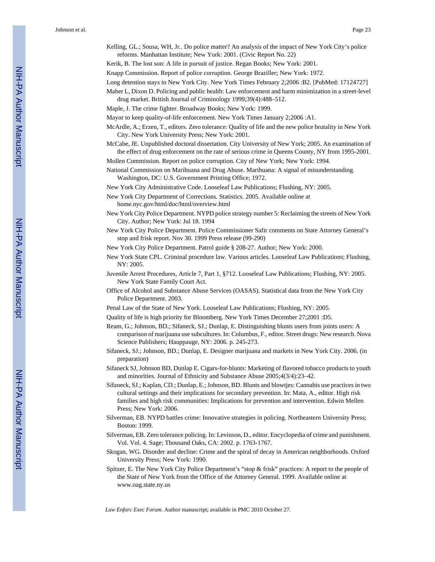Kelling, GL.; Sousa, WH, Jr.. Do police matter? An analysis of the impact of New York City's police reforms. Manhattan Institute; New York: 2001. (Civic Report No. 22)

Kerik, B. The lost son: A life in pursuit of justice. Regan Books; New York: 2001.

Knapp Commission. Report of police corruption. George Braziller; New York: 1972.

Long detention stays in New York City. New York Times February 2;2006 :B2. [PubMed: 17124727]

- Maher L, Dixon D. Policing and public health: Law enforcement and harm minimization in a street-level drug market. British Journal of Criminology 1999;39(4):488–512.
- Maple, J. The crime fighter. Broadway Books; New York: 1999.
- Mayor to keep quality-of-life enforcement. New York Times January 2;2006 :A1.
- McArdle, A.; Erzen, T., editors. Zero tolerance: Quality of life and the new police brutality in New York City. New York University Press; New York: 2001.
- McCabe, JE. Unpublished doctoral dissertation. City University of New York; 2005. An examination of the effect of drug enforcement on the rate of serious crime in Queens County, NY from 1995-2001.

Mollen Commission. Report on police corruption. City of New York; New York: 1994.

- National Commission on Marihuana and Drug Abuse. Marihuana: A signal of misunderstanding. Washington, DC: U.S. Government Printing Office; 1972.
- New York City Administrative Code. Looseleaf Law Publications; Flushing, NY: 2005.

New York City Department of Corrections. Statistics. 2005. Available online at [home.nyc.gov/html/doc/html/overview.html](http://home.nyc.gov/html/doc/html/overview.html)

- New York City Police Department. NYPD police strategy number 5: Reclaiming the streets of New York City. Author; New York: Jul 18. 1994
- New York City Police Department. Police Commissioner Safir comments on State Attorney General's stop and frisk report. Nov 30. 1999 Press release (99-290)
- New York City Police Department. Patrol guide § 208-27. Author; New York: 2000.
- New York State CPL. Criminal procedure law. Various articles. Looseleaf Law Publications; Flushing, NY: 2005.
- Juvenile Arrest Procedures, Article 7, Part 1, §712. Looseleaf Law Publications; Flushing, NY: 2005. New York State Family Court Act.
- Office of Alcohol and Substance Abuse Services (OASAS). Statistical data from the New York City Police Department. 2003.
- Penal Law of the State of New York. Looseleaf Law Publications; Flushing, NY: 2005.
- Quality of life is high priority for Bloomberg. New York Times December 27;2001 :D5.
- Ream, G.; Johnson, BD.; Sifaneck, SJ.; Dunlap, E. Distinguishing blunts users from joints users: A comparison of marijuana use subcultures. In: Columbus, F., editor. Street drugs: New research. Nova Science Publishers; Hauppauge, NY: 2006. p. 245-273.
- Sifaneck, SJ.; Johnson, BD.; Dunlap, E. Designer marijuana and markets in New York City. 2006. (in preparation)
- Sifaneck SJ, Johnson BD, Dunlap E. Cigars-for-blunts: Marketing of flavored tobacco products to youth and minorities. Journal of Ethnicity and Substance Abuse 2005;4(3/4):23–42.
- Sifaneck, SJ.; Kaplan, CD.; Dunlap, E.; Johnson, BD. Blunts and blowtjes: Cannabis use practices in two cultural settings and their implications for secondary prevention. In: Mata, A., editor. High risk families and high risk communities: Implications for prevention and intervention. Edwin Mellen Press; New York: 2006.
- Silverman, EB. NYPD battles crime: Innovative strategies in policing. Northeastern University Press; Boston: 1999.
- Silverman, EB. Zero tolerance policing. In: Levinson, D., editor. Encyclopedia of crime and punishment. Vol. Vol. 4. Sage; Thousand Oaks, CA: 2002. p. 1763-1767.
- Skogan, WG. Disorder and decline: Crime and the spiral of decay in American neighborhoods. Oxford University Press; New York: 1990.
- Spitzer, E. The New York City Police Department's "stop & frisk" practices: A report to the people of the State of New York from the Office of the Attorney General. 1999. Available online at [www.oag.state.ny.us](http://www.oag.state.ny.us)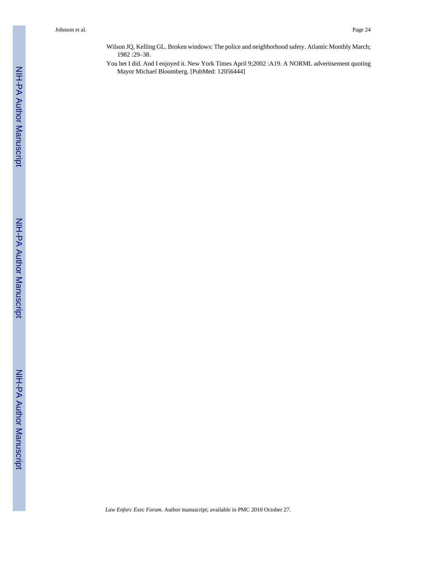- Wilson JQ, Kelling GL. Broken windows: The police and neighborhood safety. Atlantic Monthly March; 1982 :29–38.
- You bet I did. And I enjoyed it. New York Times April 9;2002 :A19. A NORML advertisement quoting Mayor Michael Bloomberg. [PubMed: 12056444]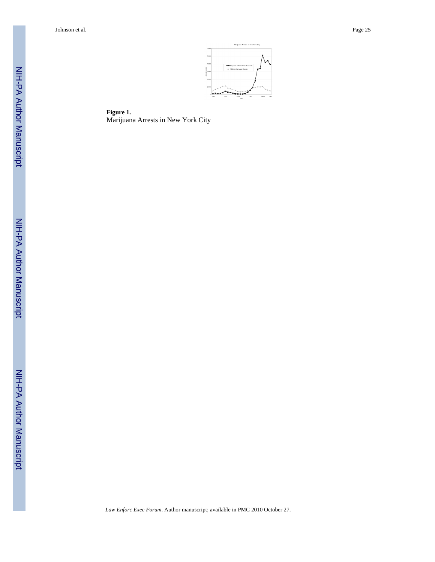Johnson et al. Page 25



**Figure 1.** Marijuana Arrests in New York City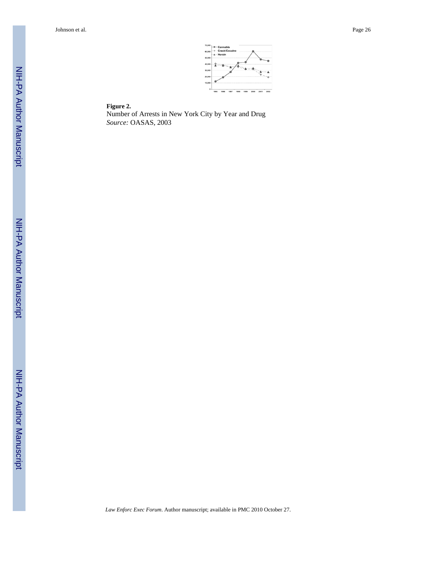Johnson et al. Page 26



#### **Figure 2.**

Number of Arrests in New York City by Year and Drug *Source:* OASAS, 2003